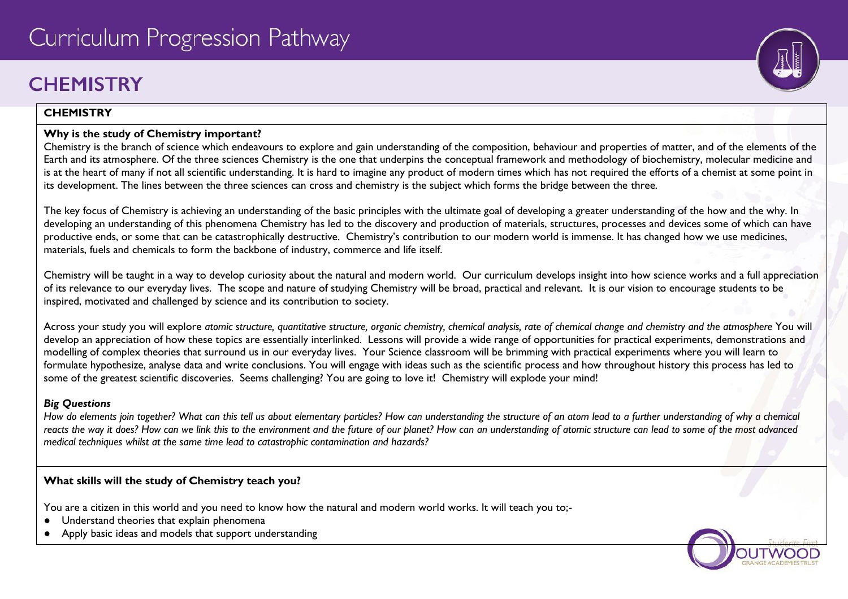# **CHFMISTRY**

### **CHEMISTRY**

## **Why is the study of Chemistry important?**

Chemistry is the branch of science which endeavours to explore and gain understanding of the composition, behaviour and properties of matter, and of the elements of the Earth and its atmosphere. Of the three sciences Chemistry is the one that underpins the conceptual framework and methodology of biochemistry, molecular medicine and is at the heart of many if not all scientific understanding. It is hard to imagine any product of modern times which has not required the efforts of a chemist at some point in its development. The lines between the three sciences can cross and chemistry is the subject which forms the bridge between the three.

The key focus of Chemistry is achieving an understanding of the basic principles with the ultimate goal of developing a greater understanding of the how and the why. In developing an understanding of this phenomena Chemistry has led to the discovery and production of materials, structures, processes and devices some of which can have productive ends, or some that can be catastrophically destructive. Chemistry's contribution to our modern world is immense. It has changed how we use medicines, materials, fuels and chemicals to form the backbone of industry, commerce and life itself.

Chemistry will be taught in a way to develop curiosity about the natural and modern world. Our curriculum develops insight into how science works and a full appreciation of its relevance to our everyday lives. The scope and nature of studying Chemistry will be broad, practical and relevant. It is our vision to encourage students to be inspired, motivated and challenged by science and its contribution to society.

Across your study you will explore *atomic structure, quantitative structure, organic chemistry, chemical analysis, rate of chemical change and chemistry and the atmosphere* You will develop an appreciation of how these topics are essentially interlinked. Lessons will provide a wide range of opportunities for practical experiments, demonstrations and modelling of complex theories that surround us in our everyday lives. Your Science classroom will be brimming with practical experiments where you will learn to formulate hypothesize, analyse data and write conclusions. You will engage with ideas such as the scientific process and how throughout history this process has led to some of the greatest scientific discoveries. Seems challenging? You are going to love it! Chemistry will explode your mind!

# *Big Questions*

*How do elements join together? What can this tell us about elementary particles? How can understanding the structure of an atom lead to a further understanding of why a chemical*  reacts the way it does? How can we link this to the environment and the future of our planet? How can an understanding of atomic structure can lead to some of the most advanced *medical techniques whilst at the same time lead to catastrophic contamination and hazards?*

# **What skills will the study of Chemistry teach you?**

You are a citizen in this world and you need to know how the natural and modern world works. It will teach you to;-

- Understand theories that explain phenomena
- Apply basic ideas and models that support understanding

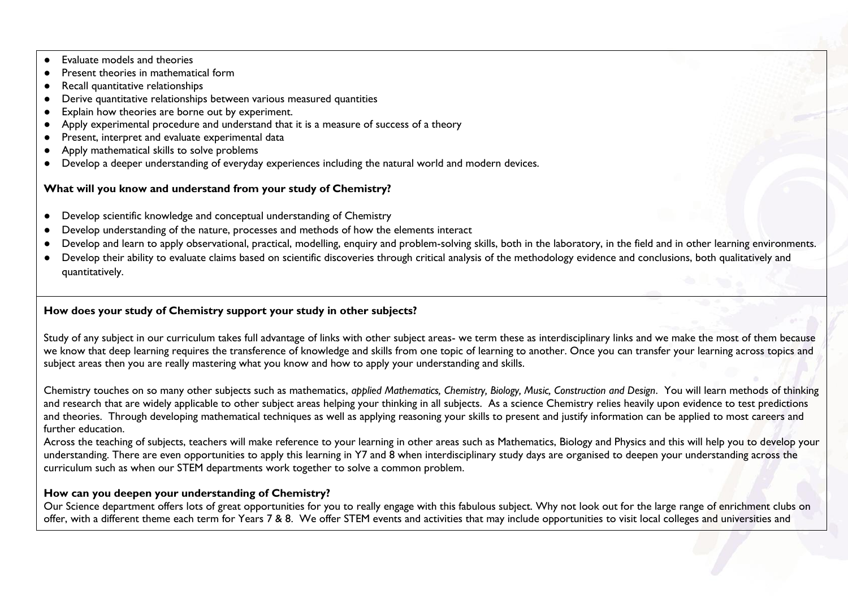- Evaluate models and theories
- Present theories in mathematical form
- Recall quantitative relationships
- Derive quantitative relationships between various measured quantities
- Explain how theories are borne out by experiment.
- Apply experimental procedure and understand that it is a measure of success of a theory
- Present, interpret and evaluate experimental data
- Apply mathematical skills to solve problems
- Develop a deeper understanding of everyday experiences including the natural world and modern devices.

### **What will you know and understand from your study of Chemistry?**

- Develop scientific knowledge and conceptual understanding of Chemistry
- Develop understanding of the nature, processes and methods of how the elements interact
- Develop and learn to apply observational, practical, modelling, enquiry and problem-solving skills, both in the laboratory, in the field and in other learning environments.
- Develop their ability to evaluate claims based on scientific discoveries through critical analysis of the methodology evidence and conclusions, both qualitatively and quantitatively.

### **How does your study of Chemistry support your study in other subjects?**

Study of any subject in our curriculum takes full advantage of links with other subject areas- we term these as interdisciplinary links and we make the most of them because we know that deep learning requires the transference of knowledge and skills from one topic of learning to another. Once you can transfer your learning across topics and subject areas then you are really mastering what you know and how to apply your understanding and skills.

Chemistry touches on so many other subjects such as mathematics, *applied Mathematics, Chemistry, Biology, Music, Construction and Design*. You will learn methods of thinking and research that are widely applicable to other subject areas helping your thinking in all subjects. As a science Chemistry relies heavily upon evidence to test predictions and theories. Through developing mathematical techniques as well as applying reasoning your skills to present and justify information can be applied to most careers and further education.

Across the teaching of subjects, teachers will make reference to your learning in other areas such as Mathematics, Biology and Physics and this will help you to develop your understanding. There are even opportunities to apply this learning in Y7 and 8 when interdisciplinary study days are organised to deepen your understanding across the curriculum such as when our STEM departments work together to solve a common problem.

#### **How can you deepen your understanding of Chemistry?**

Our Science department offers lots of great opportunities for you to really engage with this fabulous subject. Why not look out for the large range of enrichment clubs on offer, with a different theme each term for Years 7 & 8. We offer STEM events and activities that may include opportunities to visit local colleges and universities and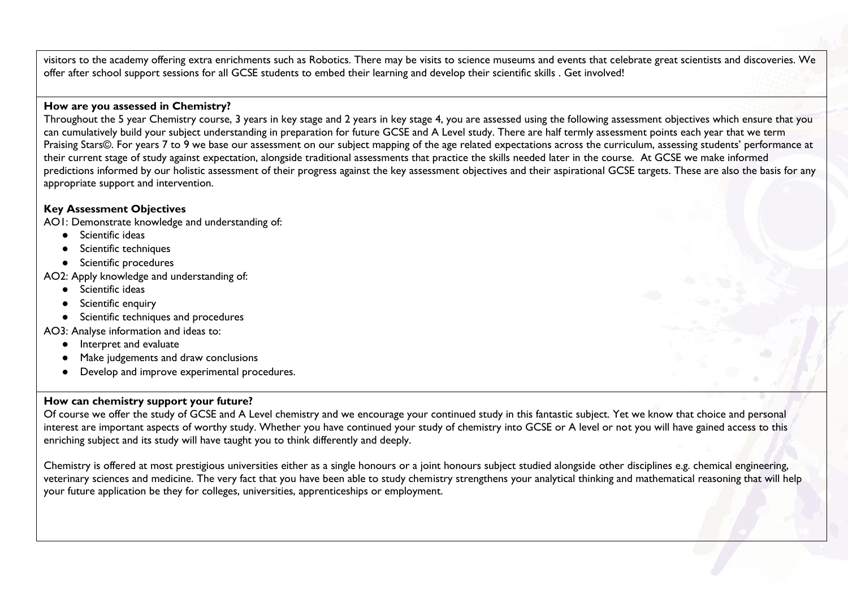visitors to the academy offering extra enrichments such as Robotics. There may be visits to science museums and events that celebrate great scientists and discoveries. We offer after school support sessions for all GCSE students to embed their learning and develop their scientific skills . Get involved!

#### **How are you assessed in Chemistry?**

Throughout the 5 year Chemistry course, 3 years in key stage and 2 years in key stage 4, you are assessed using the following assessment objectives which ensure that you can cumulatively build your subject understanding in preparation for future GCSE and A Level study. There are half termly assessment points each year that we term Praising Stars©. For years 7 to 9 we base our assessment on our subject mapping of the age related expectations across the curriculum, assessing students' performance at their current stage of study against expectation, alongside traditional assessments that practice the skills needed later in the course. At GCSE we make informed predictions informed by our holistic assessment of their progress against the key assessment objectives and their aspirational GCSE targets. These are also the basis for any appropriate support and intervention.

#### **Key Assessment Objectives**

AO1: Demonstrate knowledge and understanding of:

- Scientific ideas
- Scientific techniques
- Scientific procedures

AO2: Apply knowledge and understanding of:

- Scientific ideas
- Scientific enquiry
- Scientific techniques and procedures

AO3: Analyse information and ideas to:

- Interpret and evaluate
- Make judgements and draw conclusions
- Develop and improve experimental procedures.

#### **How can chemistry support your future?**

Of course we offer the study of GCSE and A Level chemistry and we encourage your continued study in this fantastic subject. Yet we know that choice and personal interest are important aspects of worthy study. Whether you have continued your study of chemistry into GCSE or A level or not you will have gained access to this enriching subject and its study will have taught you to think differently and deeply.

Chemistry is offered at most prestigious universities either as a single honours or a joint honours subject studied alongside other disciplines e.g. chemical engineering, veterinary sciences and medicine. The very fact that you have been able to study chemistry strengthens your analytical thinking and mathematical reasoning that will help your future application be they for colleges, universities, apprenticeships or employment.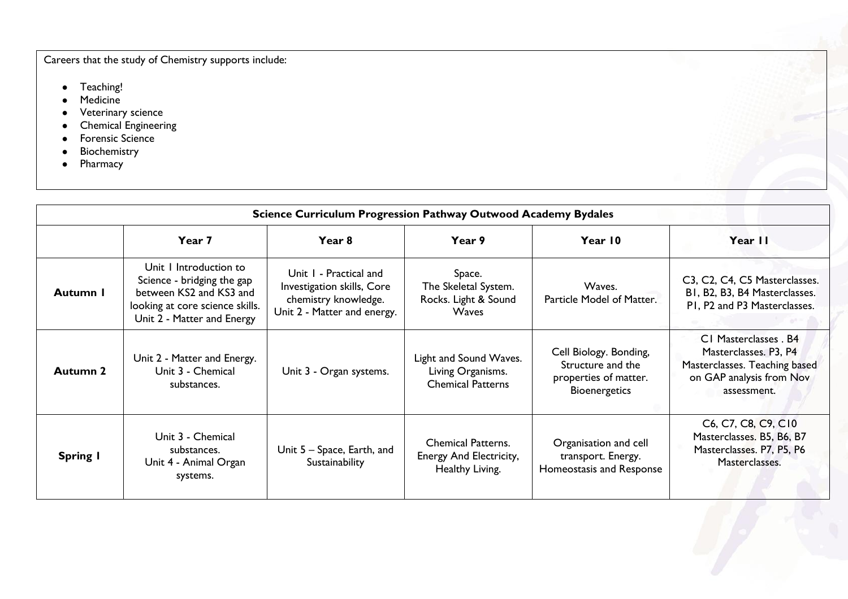Careers that the study of Chemistry supports include:

- Teaching!
- Medicine
- Veterinary science
- Chemical Engineering
- Forensic Science
- Biochemistry
- Pharmacy

| <b>Science Curriculum Progression Pathway Outwood Academy Bydales</b> |                                                                                                                                                  |                                                                                                             |                                                                         |                                                                                              |                                                                                                                            |  |  |  |  |
|-----------------------------------------------------------------------|--------------------------------------------------------------------------------------------------------------------------------------------------|-------------------------------------------------------------------------------------------------------------|-------------------------------------------------------------------------|----------------------------------------------------------------------------------------------|----------------------------------------------------------------------------------------------------------------------------|--|--|--|--|
|                                                                       | Year 7                                                                                                                                           | Year 8                                                                                                      | Year 9                                                                  | Year 10                                                                                      | Year II                                                                                                                    |  |  |  |  |
| Autumn I                                                              | Unit I Introduction to<br>Science - bridging the gap<br>between KS2 and KS3 and<br>looking at core science skills.<br>Unit 2 - Matter and Energy | Unit I - Practical and<br>Investigation skills, Core<br>chemistry knowledge.<br>Unit 2 - Matter and energy. | Space.<br>The Skeletal System.<br>Rocks. Light & Sound<br>Waves         | Waves.<br>Particle Model of Matter.                                                          | C3, C2, C4, C5 Masterclasses.<br>BI, B2, B3, B4 Masterclasses.<br>PI, P2 and P3 Masterclasses.                             |  |  |  |  |
| Autumn 2                                                              | Unit 2 - Matter and Energy.<br>Unit 3 - Chemical<br>substances.                                                                                  | Unit 3 - Organ systems.                                                                                     | Light and Sound Waves.<br>Living Organisms.<br><b>Chemical Patterns</b> | Cell Biology. Bonding,<br>Structure and the<br>properties of matter.<br><b>Bioenergetics</b> | CI Masterclasses . B4<br>Masterclasses. P3, P4<br>Masterclasses. Teaching based<br>on GAP analysis from Nov<br>assessment. |  |  |  |  |
| Spring I                                                              | Unit 3 - Chemical<br>substances.<br>Unit 4 - Animal Organ<br>systems.                                                                            | Unit 5 – Space, Earth, and<br>Sustainability                                                                | <b>Chemical Patterns.</b><br>Energy And Electricity,<br>Healthy Living. | Organisation and cell<br>transport. Energy.<br>Homeostasis and Response                      | C6, C7, C8, C9, C10<br>Masterclasses. B5, B6, B7<br>Masterclasses. P7, P5, P6<br>Masterclasses.                            |  |  |  |  |